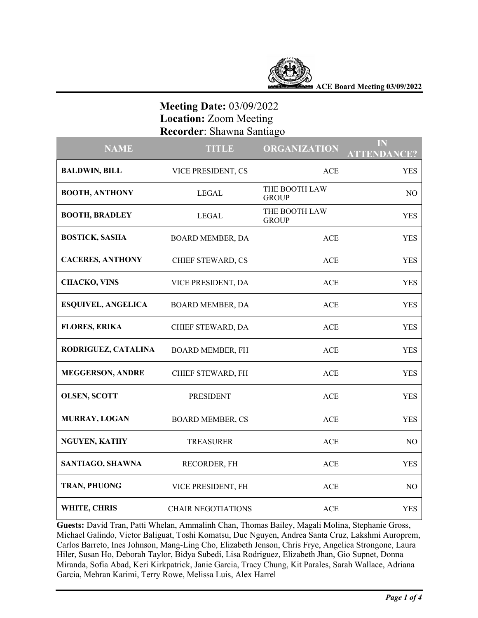

**ACE Board Meeting 03/09/2022**

# **Meeting Date:** 03/09/2022  **Location:** Zoom Meeting  **Recorder**: Shawna Santiago

| <b>NAME</b>               | <b>TITLE</b>              | <b>ORGANIZATION</b>           | IN<br><b>ATTENDANCE?</b> |
|---------------------------|---------------------------|-------------------------------|--------------------------|
| <b>BALDWIN, BILL</b>      | VICE PRESIDENT, CS        | <b>ACE</b>                    | <b>YES</b>               |
| <b>BOOTH, ANTHONY</b>     | <b>LEGAL</b>              | THE BOOTH LAW<br><b>GROUP</b> | NO.                      |
| <b>BOOTH, BRADLEY</b>     | LEGAL                     | THE BOOTH LAW<br><b>GROUP</b> | <b>YES</b>               |
| <b>BOSTICK, SASHA</b>     | <b>BOARD MEMBER, DA</b>   | <b>ACE</b>                    | <b>YES</b>               |
| <b>CACERES, ANTHONY</b>   | CHIEF STEWARD, CS         | <b>ACE</b>                    | <b>YES</b>               |
| <b>CHACKO, VINS</b>       | VICE PRESIDENT, DA        | <b>ACE</b>                    | <b>YES</b>               |
| <b>ESQUIVEL, ANGELICA</b> | <b>BOARD MEMBER, DA</b>   | <b>ACE</b>                    | <b>YES</b>               |
| <b>FLORES, ERIKA</b>      | CHIEF STEWARD, DA         | <b>ACE</b>                    | <b>YES</b>               |
| RODRIGUEZ, CATALINA       | <b>BOARD MEMBER, FH</b>   | <b>ACE</b>                    | <b>YES</b>               |
| <b>MEGGERSON, ANDRE</b>   | CHIEF STEWARD, FH         | <b>ACE</b>                    | <b>YES</b>               |
| <b>OLSEN, SCOTT</b>       | <b>PRESIDENT</b>          | <b>ACE</b>                    | <b>YES</b>               |
| MURRAY, LOGAN             | <b>BOARD MEMBER, CS</b>   | <b>ACE</b>                    | <b>YES</b>               |
| <b>NGUYEN, KATHY</b>      | <b>TREASURER</b>          | <b>ACE</b>                    | NO                       |
| SANTIAGO, SHAWNA          | RECORDER, FH              | ACE                           | <b>YES</b>               |
| TRAN, PHUONG              | VICE PRESIDENT, FH        | <b>ACE</b>                    | NO                       |
| WHITE, CHRIS              | <b>CHAIR NEGOTIATIONS</b> | <b>ACE</b>                    | <b>YES</b>               |

**Guests:** David Tran, Patti Whelan, Ammalinh Chan, Thomas Bailey, Magali Molina, Stephanie Gross, Michael Galindo, Victor Baliguat, Toshi Komatsu, Duc Nguyen, Andrea Santa Cruz, Lakshmi Auroprem, Carlos Barreto, Ines Johnson, Mang-Ling Cho, Elizabeth Jenson, Chris Frye, Angelica Strongone, Laura Hiler, Susan Ho, Deborah Taylor, Bidya Subedi, Lisa Rodriguez, Elizabeth Jhan, Gio Supnet, Donna Miranda, Sofia Abad, Keri Kirkpatrick, Janie Garcia, Tracy Chung, Kit Parales, Sarah Wallace, Adriana Garcia, Mehran Karimi, Terry Rowe, Melissa Luis, Alex Harrel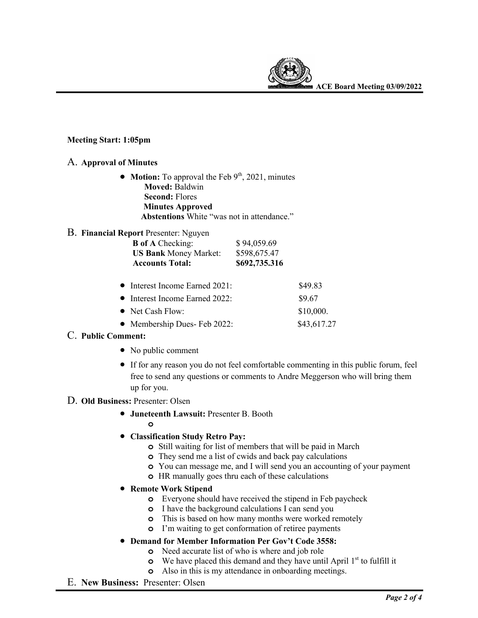

**ACE Board Meeting 03/09/2022**

#### **Meeting Start: 1:05pm**

#### A. **Approval of Minutes**

• **Motion:** To approval the Feb 9<sup>th</sup>, 2021, minutes  **Moved:** Baldwin  **Second:** Flores  **Minutes Approved Abstentions** White "was not in attendance."

#### B. **Financial Report** Presenter: Nguyen

| <b>B</b> of A Checking:<br><b>US Bank Money Market:</b> | \$94,059.69<br>\$598,675.47 |             |
|---------------------------------------------------------|-----------------------------|-------------|
| <b>Accounts Total:</b>                                  | \$692,735.316               |             |
| $\bullet$ Interest Income Earned 2021:                  |                             | \$49.83     |
| • Interest Income Earned 2022:                          |                             | \$9.67      |
| • Net Cash Flow:                                        |                             | \$10,000.   |
| • Membership Dues- Feb 2022:                            |                             | \$43,617.27 |

## C. **Public Comment:**

- No public comment
- If for any reason you do not feel comfortable commenting in this public forum, feel free to send any questions or comments to Andre Meggerson who will bring them up for you.

#### D. **Old Business:** Presenter: Olsen

- **Juneteenth Lawsuit:** Presenter B. Booth
	- **o**
- **Classification Study Retro Pay:**
	- **o** Still waiting for list of members that will be paid in March
	- **o** They send me a list of cwids and back pay calculations
	- **o** You can message me, and I will send you an accounting of your payment
	- **o** HR manually goes thru each of these calculations
- **Remote Work Stipend**
	- **o** Everyone should have received the stipend in Feb paycheck
	- **o** I have the background calculations I can send you
	- **o** This is based on how many months were worked remotely
	- **o** I'm waiting to get conformation of retiree payments
- **Demand for Member Information Per Gov't Code 3558:**
	- **o** Need accurate list of who is where and job role
	- **o** We have placed this demand and they have until April 1<sup>st</sup> to fulfill it
	- **o** Also in this is my attendance in onboarding meetings.
- E. **New Business:** Presenter: Olsen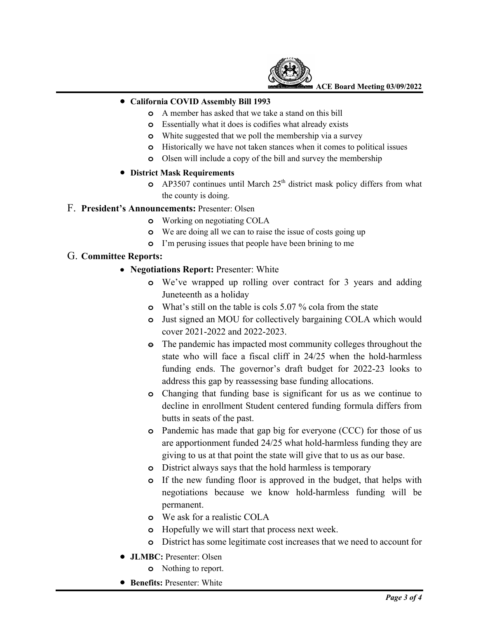

**ACE Board Meeting 03/09/2022**

## • **California COVID Assembly Bill 1993**

- **o** A member has asked that we take a stand on this bill
- **o** Essentially what it does is codifies what already exists
- **o** White suggested that we poll the membership via a survey
- **o** Historically we have not taken stances when it comes to political issues
- **o** Olsen will include a copy of the bill and survey the membership

## • **District Mask Requirements**

**o** AP3507 continues until March 25<sup>th</sup> district mask policy differs from what the county is doing.

## F. **President's Announcements:** Presenter: Olsen

- **o** Working on negotiating COLA
- **o** We are doing all we can to raise the issue of costs going up
- **o** I'm perusing issues that people have been brining to me

## G. **Committee Reports:**

- **Negotiations Report:** Presenter: White
	- **o** We've wrapped up rolling over contract for 3 years and adding Juneteenth as a holiday
	- **o** What's still on the table is cols 5.07 % cola from the state
	- **o** Just signed an MOU for collectively bargaining COLA which would cover 2021-2022 and 2022-2023.
	- **o** The pandemic has impacted most community colleges throughout the state who will face a fiscal cliff in 24/25 when the hold-harmless funding ends. The governor's draft budget for 2022-23 looks to address this gap by reassessing base funding allocations.
	- **o** Changing that funding base is significant for us as we continue to decline in enrollment Student centered funding formula differs from butts in seats of the past.
	- **o** Pandemic has made that gap big for everyone (CCC) for those of us are apportionment funded 24/25 what hold-harmless funding they are giving to us at that point the state will give that to us as our base.
	- **o** District always says that the hold harmless is temporary
	- **o** If the new funding floor is approved in the budget, that helps with negotiations because we know hold-harmless funding will be permanent.
	- **o** We ask for a realistic COLA
	- **o** Hopefully we will start that process next week.
	- **o** District has some legitimate cost increases that we need to account for
- **JLMBC:** Presenter: Olsen
	- **o** Nothing to report.
- **Benefits:** Presenter: White